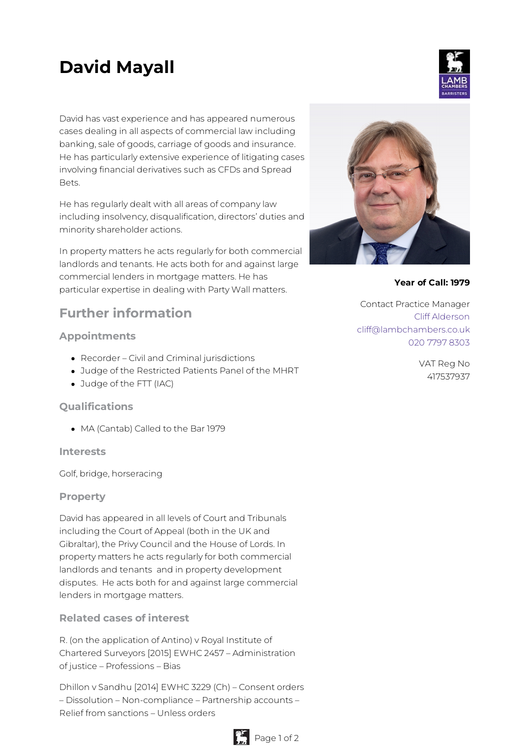# **David Mayall**

David has vast experience and has appeared numerous cases dealing in all aspects of commercial law including banking, sale of goods, carriage of goods and insurance. He has particularly extensive experience of litigating cases involving financial derivatives such as CFDs and Spread Bets.

He has regularly dealt with all areas of company law including insolvency, disqualification, directors' duties and minority shareholder actions.

In property matters he acts regularly for both commercial landlords and tenants. He acts both for and against large commercial lenders in mortgage matters. He has particular expertise in dealing with Party Wall matters.

## **Further information**

### **Appointments**

- Recorder Civil and Criminal jurisdictions
- Judge of the Restricted Patients Panel of the MHRT
- Judge of the FTT (IAC)

#### **Qualifications**

MA (Cantab) Called to the Bar 1979

#### **Interests**

Golf, bridge, horseracing

#### **Property**

David has appeared in all levels of Court and Tribunals including the Court of Appeal (both in the UK and Gibraltar), the Privy Council and the House of Lords. In property matters he acts regularly for both commercial landlords and tenants and in property development disputes. He acts both for and against large commercial lenders in mortgage matters.

#### **Related cases of interest**

R. (on the application of Antino) v Royal Institute of Chartered Surveyors [2015] EWHC 2457 – Administration of justice – Professions – Bias

Dhillon v Sandhu [2014] EWHC 3229 (Ch) – Consent orders – Dissolution – Non-compliance – Partnership accounts – Relief from sanctions – Unless orders





**Year of Call: 1979**

Contact Practice Manager Cliff [Alderson](mailto:cliff@lambchambers.co.uk) [cliff@lambchambers.co.uk](mailto:cliff@lambchambers.co.uk) 020 7797 [8303](tel:020%207797%208303)

> VAT Reg No 417537937